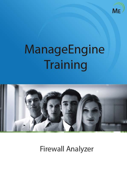

# ManageEngine Training



**Firewall Analyzer**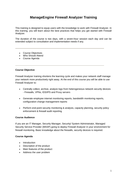# **ManageEngine Firewall Analyzer Training**

This training is designed to equip users with the knowledge to work with Firewall Analyzer. In this training, you will learn about the best practices that helps you get started with Firewall Analyzer.

The duration of the course is two days, with a seven-hour session each day and can be extended subject to consultation and implementation needs if any.

- Course Objectives
- Who Should Attend
- Course Agenda

#### **Course Objective**

Firewall Analyzer training shortens the learning cycle and makes your network staff manage your network more productively right away. At the end of this course you will be able to use Firewall Analyzer to:

- Centrally collect, archive, analyze logs from heterogeneous network security devices - Firewalls, VPNs, IDS/IPS and Proxy servers
- Generate employee internet monitoring reports, bandwidth monitoring reports, configuration change management reports
- Perform end-point security monitoring & analysis, capacity planning, security policy enforcement & firewall audit reporting

#### **Course Audience**

If you are an IT Manager, Security Manager, Security/ System Administrator, Managed Security Service Provider (MSSP) going to deploy Firewall Analyzer in your environment for firewall monitoring. Basic knowledge about the firewalls, security devices is required.

#### **Course Agenda**

- Introduction
- Description of the product
- Main features of the product
- Address the user problem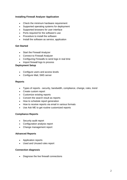# **Installing Firewall Analyzer Application**

- Check the minimum hardware requirement
- Supported operating systems for deployment
- Supported browsers for user interface
- Ports required for the software's use
- Procedure to install the software
- Install the software as service, application

# **Get Started**

- Start the Firewall Analyzer
- Connect to Firewall Analyzer
- Configuring Firewalls to send logs in real time
- Import firewall logs to process

# **Deployment Setup**

- Configure users and access levels
- Configure Mail, SMS server

# **Reports**

- Types of reports security, bandwidth, compliance, change, rules, trend
- Create custom report
- Customize existing reports
- Convert the search result as reports
- How to schedule report generation
- How to receive reports via email in various formats
- Use Ask ME to get routine customized reports

#### **Compliance Reports**

- Security audit report
- Configuration analysis report
- Change management report

#### **Advanced Reports**

- Application reports
- Used and Unused rules report

#### **Connection diagnosis**

• Diagnose the live firewall connections